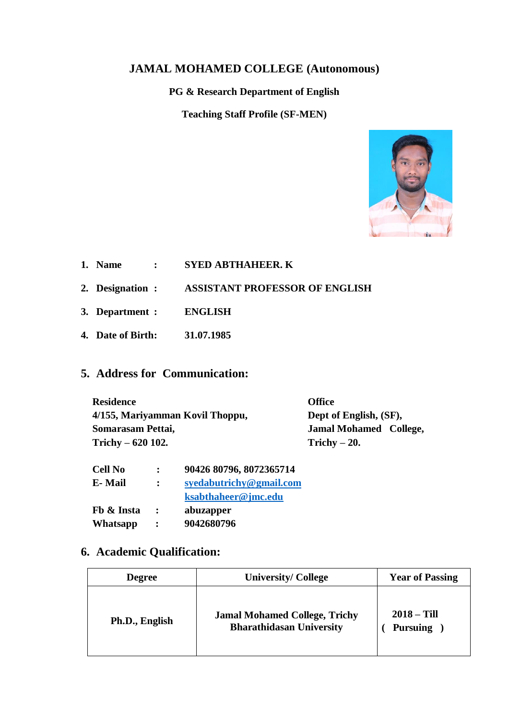## **JAMAL MOHAMED COLLEGE (Autonomous)**

**PG & Research Department of English**

**Teaching Staff Profile (SF-MEN)**



- **1. Name : SYED ABTHAHEER. K**
- **2. Designation : ASSISTANT PROFESSOR OF ENGLISH**
- **3. Department : ENGLISH**
- **4. Date of Birth: 31.07.1985**

# **5. Address for Communication:**

| <b>Residence</b>                | <b>Office</b>                 |  |
|---------------------------------|-------------------------------|--|
| 4/155, Mariyamman Kovil Thoppu, | Dept of English, (SF),        |  |
| Somarasam Pettai,               | <b>Jamal Mohamed College,</b> |  |
| Trichy $-620$ 102.              | Trichy $-20$ .                |  |

| <b>Cell No</b> | $\ddot{\phantom{a}}$ | 90426 80796, 8072365714 |
|----------------|----------------------|-------------------------|
| E-Mail         | $\ddot{\phantom{a}}$ | syedabutrichy@gmail.com |
|                |                      | ksabthaheer@jmc.edu     |
| Fb & Insta     | $\ddot{\phantom{a}}$ | abuzapper               |
| Whatsapp       | $\ddot{\cdot}$       | 9042680796              |

# **6. Academic Qualification:**

| <b>Degree</b>  | <b>University/ College</b>                                              |                                  |
|----------------|-------------------------------------------------------------------------|----------------------------------|
| Ph.D., English | <b>Jamal Mohamed College, Trichy</b><br><b>Bharathidasan University</b> | $2018 - Till$<br><b>Pursuing</b> |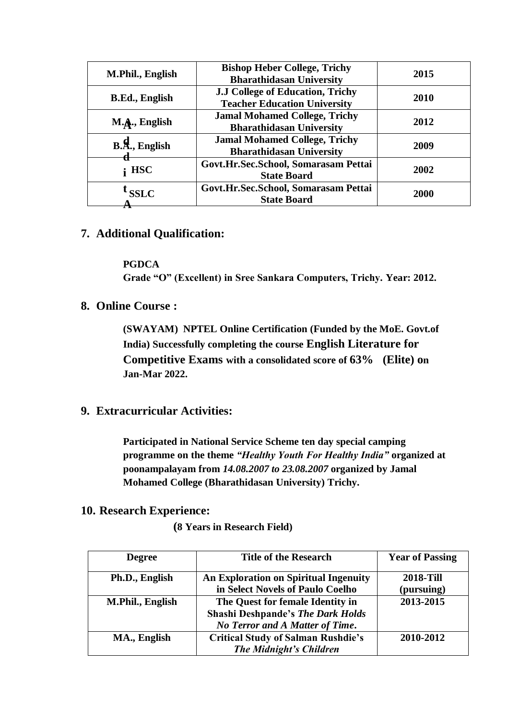| <b>Bishop Heber College, Trichy</b><br>M.Phil., English<br><b>Bharathidasan University</b> |                                                                         | 2015 |
|--------------------------------------------------------------------------------------------|-------------------------------------------------------------------------|------|
| <b>B.Ed., English</b>                                                                      | J.J College of Education, Trichy<br><b>Teacher Education University</b> | 2010 |
| M.A., English                                                                              | <b>Jamal Mohamed College, Trichy</b><br><b>Bharathidasan University</b> | 2012 |
| $B.A.,$ English                                                                            | <b>Jamal Mohamed College, Trichy</b><br><b>Bharathidasan University</b> | 2009 |
| $\mathbf{i}$ HSC                                                                           | Govt.Hr.Sec.School, Somarasam Pettai<br><b>State Board</b>              | 2002 |
| <b>SSLC</b>                                                                                | Govt.Hr.Sec.School, Somarasam Pettai<br><b>State Board</b>              | 2000 |

### **7. Additional Qualification:**

#### **PGDCA**

**Grade "O" (Excellent) in Sree Sankara Computers, Trichy. Year: 2012.**

**8. Online Course :** 

**(SWAYAM) NPTEL Online Certification (Funded by the MoE. Govt.of India) Successfully completing the course English Literature for Competitive Exams with a consolidated score of 63% (Elite) on Jan-Mar 2022.**

### **9. Extracurricular Activities:**

**Participated in National Service Scheme ten day special camping programme on the theme** *"Healthy Youth For Healthy India"* **organized at poonampalayam from** *14.08.2007 to 23.08.2007* **organized by Jamal Mohamed College (Bharathidasan University) Trichy.**

### **10. Research Experience:**

 **(8 Years in Research Field)**

| <b>Degree</b>    | <b>Title of the Research</b>                                                                                           | <b>Year of Passing</b>         |
|------------------|------------------------------------------------------------------------------------------------------------------------|--------------------------------|
| Ph.D., English   | <b>An Exploration on Spiritual Ingenuity</b><br>in Select Novels of Paulo Coelho                                       | <b>2018-Till</b><br>(pursuing) |
| M.Phil., English | The Quest for female Identity in<br><b>Shashi Deshpande's The Dark Holds</b><br><b>No Terror and A Matter of Time.</b> | 2013-2015                      |
| MA., English     | <b>Critical Study of Salman Rushdie's</b><br>The Midnight's Children                                                   | 2010-2012                      |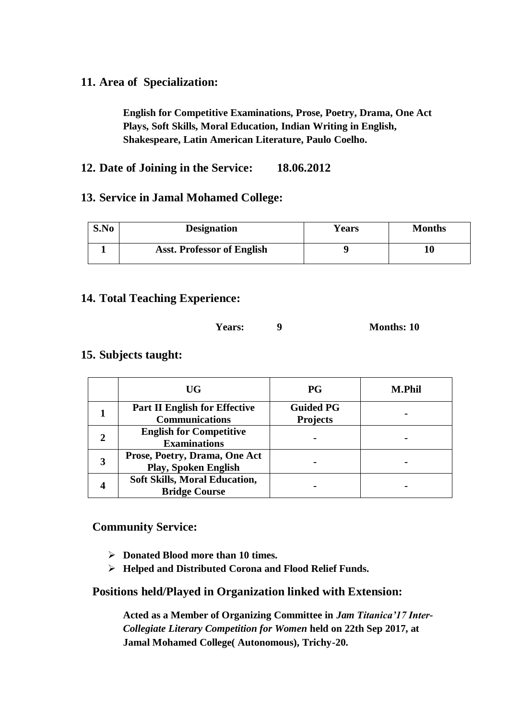## **11. Area of Specialization:**

**English for Competitive Examinations, Prose, Poetry, Drama, One Act Plays, Soft Skills, Moral Education, Indian Writing in English, Shakespeare, Latin American Literature, Paulo Coelho.**

## **12. Date of Joining in the Service: 18.06.2012**

### **13. Service in Jamal Mohamed College:**

| S.No | <b>Designation</b>                | <b>Years</b> | <b>Months</b> |
|------|-----------------------------------|--------------|---------------|
|      | <b>Asst. Professor of English</b> |              | 10            |

### **14. Total Teaching Experience:**

### **Years: 9 Months: 10**

### **15. Subjects taught:**

| UG                                                            | <b>PG</b>                           | <b>M.Phil</b> |
|---------------------------------------------------------------|-------------------------------------|---------------|
| <b>Part II English for Effective</b><br><b>Communications</b> | <b>Guided PG</b><br><b>Projects</b> |               |
| <b>English for Competitive</b><br><b>Examinations</b>         |                                     |               |
| Prose, Poetry, Drama, One Act<br><b>Play, Spoken English</b>  |                                     |               |
| <b>Soft Skills, Moral Education,</b><br><b>Bridge Course</b>  |                                     |               |

### **Community Service:**

- **Donated Blood more than 10 times.**
- **Helped and Distributed Corona and Flood Relief Funds.**

### **Positions held/Played in Organization linked with Extension:**

**Acted as a Member of Organizing Committee in** *Jam Titanica'17 Inter-Collegiate Literary Competition for Women* **held on 22th Sep 2017, at Jamal Mohamed College( Autonomous), Trichy-20.**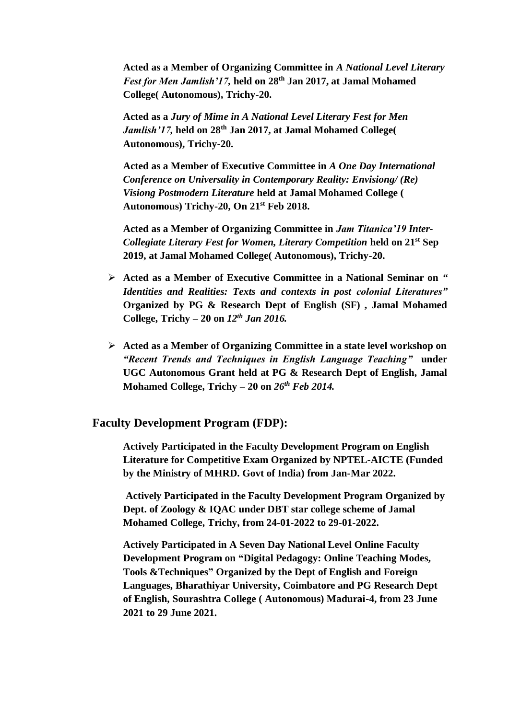**Acted as a Member of Organizing Committee in** *A National Level Literary Fest for Men Jamlish'17,* **held on 28th Jan 2017, at Jamal Mohamed College( Autonomous), Trichy-20.**

**Acted as a** *Jury of Mime in A National Level Literary Fest for Men Jamlish'17,* **held on 28th Jan 2017, at Jamal Mohamed College( Autonomous), Trichy-20.**

**Acted as a Member of Executive Committee in** *A One Day International Conference on Universality in Contemporary Reality: Envisiong/ (Re) Visiong Postmodern Literature* **held at Jamal Mohamed College ( Autonomous) Trichy-20, On 21st Feb 2018.**

**Acted as a Member of Organizing Committee in** *Jam Titanica'19 Inter-Collegiate Literary Fest for Women, Literary Competition* **held on 21st Sep 2019, at Jamal Mohamed College( Autonomous), Trichy-20.**

- **Acted as a Member of Executive Committee in a National Seminar on** *" Identities and Realities: Texts and contexts in post colonial Literatures"* **Organized by PG & Research Dept of English (SF) , Jamal Mohamed College, Trichy – 20 on** *12th Jan 2016.*
- **Acted as a Member of Organizing Committee in a state level workshop on**  *"Recent Trends and Techniques in English Language Teaching"* **under UGC Autonomous Grant held at PG & Research Dept of English, Jamal Mohamed College, Trichy – 20 on** *26th Feb 2014.*

#### **Faculty Development Program (FDP):**

**Actively Participated in the Faculty Development Program on English Literature for Competitive Exam Organized by NPTEL-AICTE (Funded by the Ministry of MHRD. Govt of India) from Jan-Mar 2022.**

**Actively Participated in the Faculty Development Program Organized by Dept. of Zoology & IQAC under DBT star college scheme of Jamal Mohamed College, Trichy, from 24-01-2022 to 29-01-2022.**

**Actively Participated in A Seven Day National Level Online Faculty Development Program on "Digital Pedagogy: Online Teaching Modes, Tools &Techniques" Organized by the Dept of English and Foreign Languages, Bharathiyar University, Coimbatore and PG Research Dept of English, Sourashtra College ( Autonomous) Madurai-4, from 23 June 2021 to 29 June 2021.**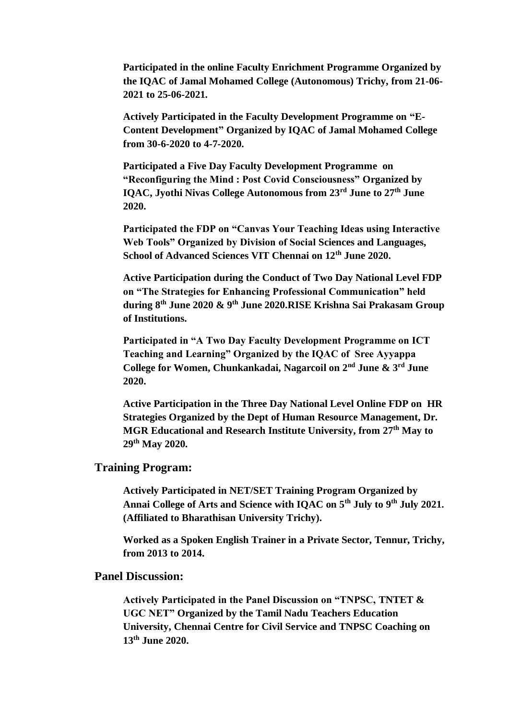**Participated in the online Faculty Enrichment Programme Organized by the IQAC of Jamal Mohamed College (Autonomous) Trichy, from 21-06- 2021 to 25-06-2021.**

**Actively Participated in the Faculty Development Programme on "E-Content Development" Organized by IQAC of Jamal Mohamed College from 30-6-2020 to 4-7-2020.**

**Participated a Five Day Faculty Development Programme on "Reconfiguring the Mind : Post Covid Consciousness" Organized by IQAC, Jyothi Nivas College Autonomous from 23rd June to 27th June 2020.**

**Participated the FDP on "Canvas Your Teaching Ideas using Interactive Web Tools" Organized by Division of Social Sciences and Languages, School of Advanced Sciences VIT Chennai on 12th June 2020.**

**Active Participation during the Conduct of Two Day National Level FDP on "The Strategies for Enhancing Professional Communication" held during 8th June 2020 & 9th June 2020.RISE Krishna Sai Prakasam Group of Institutions.**

**Participated in "A Two Day Faculty Development Programme on ICT Teaching and Learning" Organized by the IQAC of Sree Ayyappa College for Women, Chunkankadai, Nagarcoil on 2nd June & 3rd June 2020.**

**Active Participation in the Three Day National Level Online FDP on HR Strategies Organized by the Dept of Human Resource Management, Dr. MGR Educational and Research Institute University, from 27th May to 29th May 2020.**

#### **Training Program:**

**Actively Participated in NET/SET Training Program Organized by Annai College of Arts and Science with IQAC on 5th July to 9th July 2021. (Affiliated to Bharathisan University Trichy).**

**Worked as a Spoken English Trainer in a Private Sector, Tennur, Trichy, from 2013 to 2014.**

### **Panel Discussion:**

**Actively Participated in the Panel Discussion on "TNPSC, TNTET & UGC NET" Organized by the Tamil Nadu Teachers Education University, Chennai Centre for Civil Service and TNPSC Coaching on 13th June 2020.**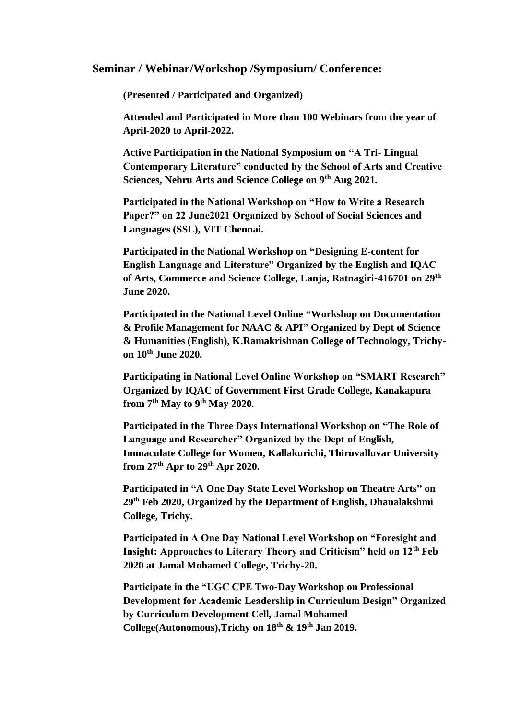#### **Seminar / Webinar/Workshop /Symposium/ Conference:**

**(Presented / Participated and Organized)** 

**Attended and Participated in More than 100 Webinars from the year of April-2020 to April-2022.**

**Active Participation in the National Symposium on "A Tri- Lingual Contemporary Literature" conducted by the School of Arts and Creative Sciences, Nehru Arts and Science College on 9th Aug 2021.**

**Participated in the National Workshop on "How to Write a Research Paper?" on 22 June2021 Organized by School of Social Sciences and Languages (SSL), VIT Chennai.**

**Participated in the National Workshop on "Designing E-content for English Language and Literature" Organized by the English and IQAC of Arts, Commerce and Science College, Lanja, Ratnagiri-416701 on 29th June 2020.**

**Participated in the National Level Online "Workshop on Documentation & Profile Management for NAAC & API" Organized by Dept of Science & Humanities (English), K.Ramakrishnan College of Technology, Trichyon 10th June 2020.**

**Participating in National Level Online Workshop on "SMART Research" Organized by IQAC of Government First Grade College, Kanakapura from 7th May to 9th May 2020.**

**Participated in the Three Days International Workshop on "The Role of Language and Researcher" Organized by the Dept of English, Immaculate College for Women, Kallakurichi, Thiruvalluvar University from 27th Apr to 29th Apr 2020.**

**Participated in "A One Day State Level Workshop on Theatre Arts" on 29th Feb 2020, Organized by the Department of English, Dhanalakshmi College, Trichy.**

**Participated in A One Day National Level Workshop on "Foresight and Insight: Approaches to Literary Theory and Criticism" held on 12th Feb 2020 at Jamal Mohamed College, Trichy-20.**

**Participate in the "UGC CPE Two-Day Workshop on Professional Development for Academic Leadership in Curriculum Design" Organized by Curriculum Development Cell, Jamal Mohamed College(Autonomous),Trichy on 18th & 19th Jan 2019.**